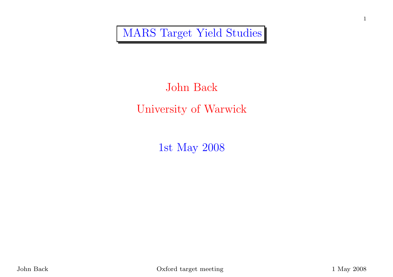MARS Target Yield Studies

# John BackUniversity of Warwick

1st May <sup>2008</sup>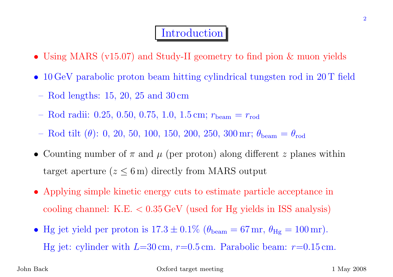#### **Introduction**

- Using MARS (v15.07) and Study-II geometry to find <sup>p</sup>ion & muon <sup>y</sup>ields
- <sup>10</sup> GeV parabolic proton beam hitting cylindrical tungsten rod in <sup>20</sup> <sup>T</sup> field
- Rod lengths: 15, 20, <sup>25</sup> and <sup>30</sup> cm
- Rod radii: 0.25, 0.50, 0.75, 1.0, 1.5 cm;  $r_{\text{beam}} = r_{\text{rod}}$
- Rod tilt  $(\theta)$ : 0, 20, 50, 100, 150, 200, 250, 300 mr;  $\theta_{\text{beam}}$  $_{\rm m}=\theta_{\rm rod}$
- Counting number of  $\pi$  and  $\mu$  (per proton) along different z planes within target aperture  $(z \leq 6 \,\mathrm{m})$  directly from MARS output
- Applying simple kinetic energy cuts to estimate particle acceptance incooling channel: K.E. <sup>&</sup>lt; <sup>0</sup>.<sup>35</sup> GeV (used for Hg <sup>y</sup>ields in ISS analysis)
- Hg jet yield per proton is  $17.3 \pm 0.1\%$  ( $\theta_{\text{beam}} = 67 \text{ mr}$ ,  $\theta_{\text{Hg}} = 100 \text{ mr}$ ). Hg jet: cylinder with  $L=30 \text{ cm}$ ,  $r=0.5 \text{ cm}$ . Parabolic beam:  $r=0.15 \text{ cm}$ .

John Back

Oxford target meeting 1 May 2008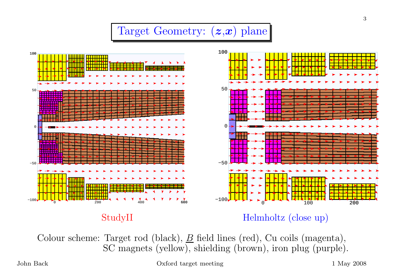#### Target Geometry:  $(z, x)$  plane



StudyII

Helmholtz (close up)

Colour scheme: Target rod (black),  $\underline{B}$  field lines (red), Cu coils (magenta),<br>SC magneta (vellow), shielding (brown), iron plug (purple) SC magnets (yellow), shielding (brown), iron <sup>p</sup>lug (purple).

Oxford target meeting 1 May 2008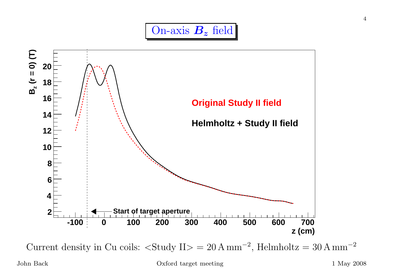



Current density in Cu coils:  $\langle$ Study II> = 20 A mm<sup>-2</sup>, Helmholtz = 30 A mm<sup>-2</sup>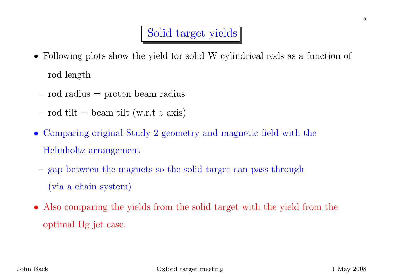## Solid target <sup>y</sup>ields

- Following <sup>p</sup>lots show the <sup>y</sup>ield for solid <sup>W</sup> cylindrical rods as <sup>a</sup> function of
- rod length
- rod radius <sup>=</sup> proton beam radius
- rod tilt = beam tilt (w.r.t  $z$  axis)
- Comparing original Study <sup>2</sup> geometry and magnetic field with the Helmholtz arrangement
- gap between the magnets so the solid target can pass through(via <sup>a</sup> chain system)
- Also comparing the <sup>y</sup>ields from the solid target with the <sup>y</sup>ield from the optimal Hg jet case.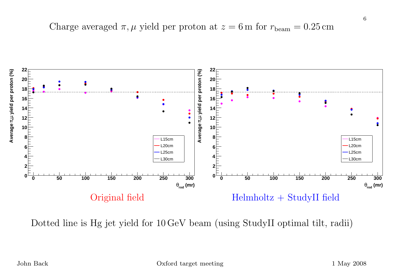Charge averaged  $\pi, \mu$  yield per proton at  $z = 6$  m for  $r_{\text{beam}} = 0.25 \text{ cm}$ 



Dotted line is Hg jet <sup>y</sup>ield for <sup>10</sup> GeV beam (using StudyII optimal tilt, radii)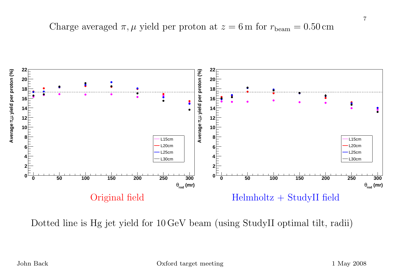Charge averaged  $\pi, \mu$  yield per proton at  $z = 6$  m for  $r_{\text{beam}} = 0.50 \text{ cm}$ 



Dotted line is Hg jet <sup>y</sup>ield for <sup>10</sup> GeV beam (using StudyII optimal tilt, radii)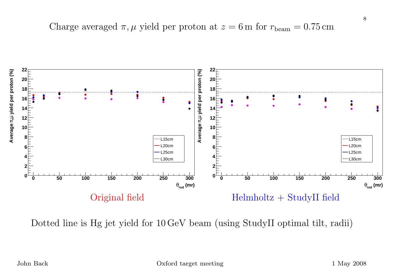Charge averaged  $\pi, \mu$  yield per proton at  $z = 6$  m for  $r_{\text{beam}} = 0.75 \text{ cm}$ 



Dotted line is Hg jet <sup>y</sup>ield for <sup>10</sup> GeV beam (using StudyII optimal tilt, radii)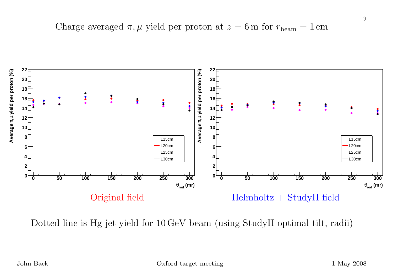Charge averaged  $\pi$ ,  $\mu$  yield per proton at  $z = 6$  m for  $r_{\text{beam}} = 1 \text{ cm}$ 



Dotted line is Hg jet <sup>y</sup>ield for <sup>10</sup> GeV beam (using StudyII optimal tilt, radii)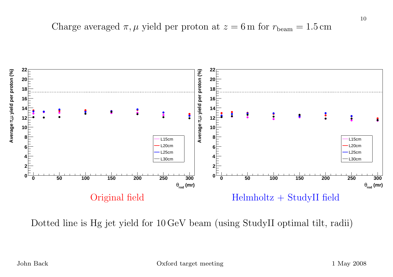Charge averaged  $\pi, \mu$  yield per proton at  $z = 6$  m for  $r_{\text{beam}} = 1.5 \text{ cm}$ 



Dotted line is Hg jet <sup>y</sup>ield for <sup>10</sup> GeV beam (using StudyII optimal tilt, radii)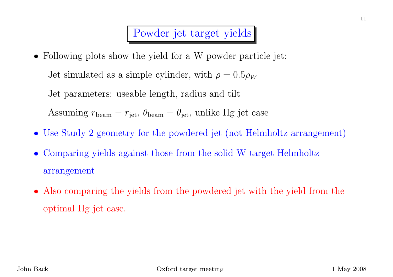#### Powder jet target <sup>y</sup>ields

- Following <sup>p</sup>lots show the <sup>y</sup>ield for <sup>a</sup> <sup>W</sup> powder particle jet:
	- Jet simulated as a simple cylinder, with  $\rho = 0.5 \rho_W$
- Jet parameters: useable length, radius and tilt
- Assuming  $r_{\text{beam}} = r_{\text{jet}}$ ,  $\theta_{\text{beam}} = \theta_{\text{jet}}$ , unlike Hg jet case
- Use Study <sup>2</sup> geometry for the powdered jet (not Helmholtz arrangement)
- $\bullet$  Comparing <sup>y</sup>ields against those from the solid <sup>W</sup> target Helmholtz arrangement
- Also comparing the <sup>y</sup>ields from the powdered jet with the <sup>y</sup>ield from the optimal Hg jet case.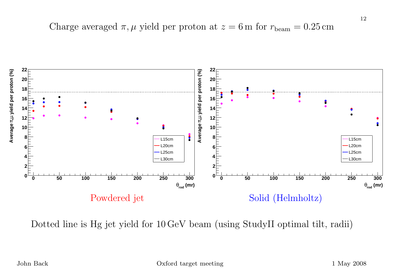Charge averaged  $\pi, \mu$  yield per proton at  $z = 6$  m for  $r_{\text{beam}} = 0.25 \text{ cm}$ 



Dotted line is Hg jet <sup>y</sup>ield for <sup>10</sup> GeV beam (using StudyII optimal tilt, radii)

12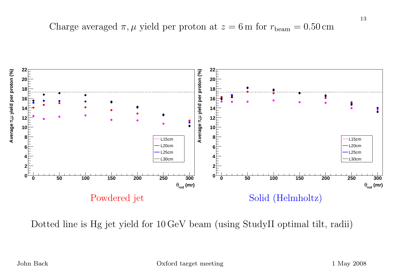Charge averaged  $\pi, \mu$  yield per proton at  $z = 6$  m for  $r_{\text{beam}} = 0.50 \text{ cm}$ 



Dotted line is Hg jet <sup>y</sup>ield for <sup>10</sup> GeV beam (using StudyII optimal tilt, radii)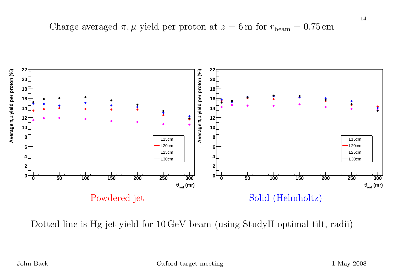Charge averaged  $\pi, \mu$  yield per proton at  $z = 6$  m for  $r_{\text{beam}} = 0.75 \text{ cm}$ 



Dotted line is Hg jet <sup>y</sup>ield for <sup>10</sup> GeV beam (using StudyII optimal tilt, radii)

14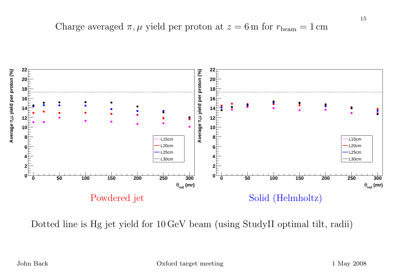Charge averaged  $\pi$ ,  $\mu$  yield per proton at  $z = 6$  m for  $r_{\text{beam}} = 1 \text{ cm}$ 



Dotted line is Hg jet <sup>y</sup>ield for <sup>10</sup> GeV beam (using StudyII optimal tilt, radii)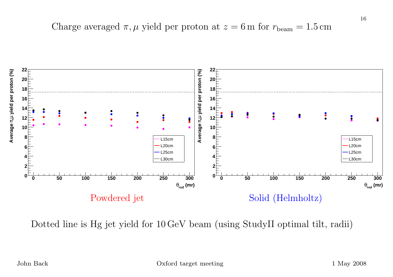Charge averaged  $\pi, \mu$  yield per proton at  $z = 6$  m for  $r_{\text{beam}} = 1.5 \text{ cm}$ 



Dotted line is Hg jet <sup>y</sup>ield for <sup>10</sup> GeV beam (using StudyII optimal tilt, radii)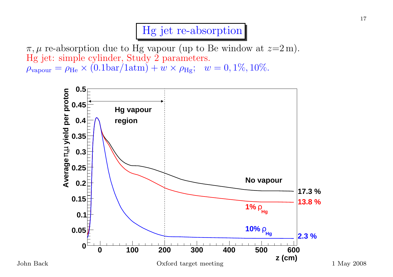## Hg jet re-absorption

 $\pi, \mu$  re-absorption due to Hg vapour (up to Be window at  $z=2 \,\mathrm{m}$ ). Hg jet: simple cylinder, Study <sup>2</sup> parameters.  $\rho_{\text{vapour}} = \rho_{\text{He}} \times (0.1 \text{bar}/1 \text{atm}) + w \times \rho_{\text{Hg}}; \ \ w = 0, 1\%, 10\%.$